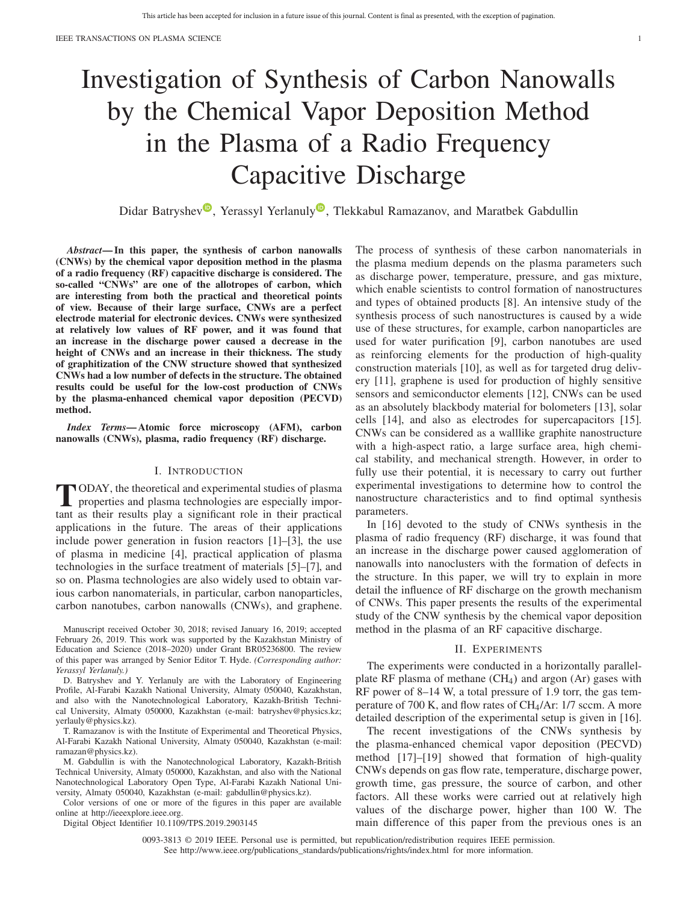# Investigation of Synthesis of Carbon Nanowalls by the Chemical Vapor Deposition Method in the Plasma of a Radio Frequency Capacitive Discharge

Didar Batr[y](https://orcid.org/0000-0001-6757-1041)shev<sup>®</sup>, Yerassyl Yerlanuly<sup>®</sup>, Tlekkabul Ramazanov, and Maratbek Gabdullin

*Abstract***— In this paper, the synthesis of carbon nanowalls (CNWs) by the chemical vapor deposition method in the plasma of a radio frequency (RF) capacitive discharge is considered. The so-called "CNWs" are one of the allotropes of carbon, which are interesting from both the practical and theoretical points of view. Because of their large surface, CNWs are a perfect electrode material for electronic devices. CNWs were synthesized at relatively low values of RF power, and it was found that an increase in the discharge power caused a decrease in the height of CNWs and an increase in their thickness. The study of graphitization of the CNW structure showed that synthesized CNWs had a low number of defects in the structure. The obtained results could be useful for the low-cost production of CNWs by the plasma-enhanced chemical vapor deposition (PECVD) method.**

*Index Terms***— Atomic force microscopy (AFM), carbon nanowalls (CNWs), plasma, radio frequency (RF) discharge.**

## I. INTRODUCTION

**T**ODAY, the theoretical and experimental studies of plasma properties and plasma technologies are especially important as their results play a significant role in their practical applications in the future. The areas of their applications include power generation in fusion reactors [1]–[3], the use of plasma in medicine [4], practical application of plasma technologies in the surface treatment of materials [5]–[7], and so on. Plasma technologies are also widely used to obtain various carbon nanomaterials, in particular, carbon nanoparticles, carbon nanotubes, carbon nanowalls (CNWs), and graphene.

D. Batryshev and Y. Yerlanuly are with the Laboratory of Engineering Profile, Al-Farabi Kazakh National University, Almaty 050040, Kazakhstan, and also with the Nanotechnological Laboratory, Kazakh-British Technical University, Almaty 050000, Kazakhstan (e-mail: batryshev@physics.kz; yerlauly@physics.kz).

T. Ramazanov is with the Institute of Experimental and Theoretical Physics, Al-Farabi Kazakh National University, Almaty 050040, Kazakhstan (e-mail: ramazan@physics.kz).

M. Gabdullin is with the Nanotechnological Laboratory, Kazakh-British Technical University, Almaty 050000, Kazakhstan, and also with the National Nanotechnological Laboratory Open Type, Al-Farabi Kazakh National University, Almaty 050040, Kazakhstan (e-mail: gabdullin@physics.kz).

Color versions of one or more of the figures in this paper are available online at http://ieeexplore.ieee.org.

Digital Object Identifier 10.1109/TPS.2019.2903145

The process of synthesis of these carbon nanomaterials in the plasma medium depends on the plasma parameters such as discharge power, temperature, pressure, and gas mixture, which enable scientists to control formation of nanostructures and types of obtained products [8]. An intensive study of the synthesis process of such nanostructures is caused by a wide use of these structures, for example, carbon nanoparticles are used for water purification [9], carbon nanotubes are used as reinforcing elements for the production of high-quality construction materials [10], as well as for targeted drug delivery [11], graphene is used for production of highly sensitive sensors and semiconductor elements [12], CNWs can be used as an absolutely blackbody material for bolometers [13], solar cells [14], and also as electrodes for supercapacitors [15]. CNWs can be considered as a walllike graphite nanostructure with a high-aspect ratio, a large surface area, high chemical stability, and mechanical strength. However, in order to fully use their potential, it is necessary to carry out further experimental investigations to determine how to control the nanostructure characteristics and to find optimal synthesis parameters.

In [16] devoted to the study of CNWs synthesis in the plasma of radio frequency (RF) discharge, it was found that an increase in the discharge power caused agglomeration of nanowalls into nanoclusters with the formation of defects in the structure. In this paper, we will try to explain in more detail the influence of RF discharge on the growth mechanism of CNWs. This paper presents the results of the experimental study of the CNW synthesis by the chemical vapor deposition method in the plasma of an RF capacitive discharge.

## II. EXPERIMENTS

The experiments were conducted in a horizontally parallelplate RF plasma of methane (CH4*)* and argon (Ar) gases with RF power of 8–14 W, a total pressure of 1.9 torr, the gas temperature of 700 K, and flow rates of CH4/Ar: 1/7 sccm. A more detailed description of the experimental setup is given in [16].

The recent investigations of the CNWs synthesis by the plasma-enhanced chemical vapor deposition (PECVD) method [17]–[19] showed that formation of high-quality CNWs depends on gas flow rate, temperature, discharge power, growth time, gas pressure, the source of carbon, and other factors. All these works were carried out at relatively high values of the discharge power, higher than 100 W. The main difference of this paper from the previous ones is an

Manuscript received October 30, 2018; revised January 16, 2019; accepted February 26, 2019. This work was supported by the Kazakhstan Ministry of Education and Science (2018–2020) under Grant BR05236800. The review of this paper was arranged by Senior Editor T. Hyde. *(Corresponding author: Yerassyl Yerlanuly.)*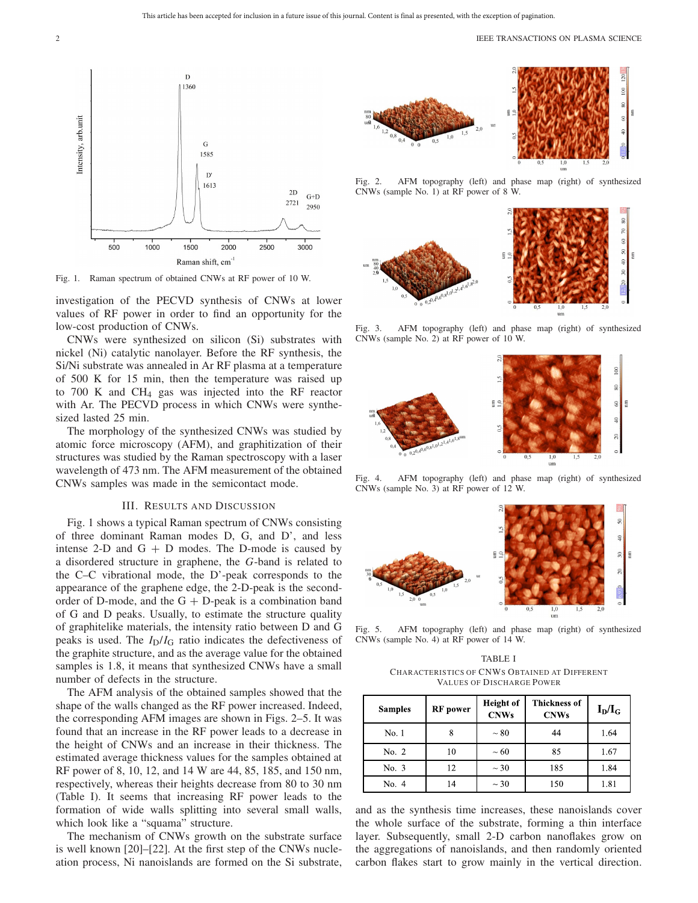

Fig. 1. Raman spectrum of obtained CNWs at RF power of 10 W.

investigation of the PECVD synthesis of CNWs at lower values of RF power in order to find an opportunity for the low-cost production of CNWs.

CNWs were synthesized on silicon (Si) substrates with nickel (Ni) catalytic nanolayer. Before the RF synthesis, the Si/Ni substrate was annealed in Ar RF plasma at a temperature of 500 K for 15 min, then the temperature was raised up to 700 K and CH4 gas was injected into the RF reactor with Ar. The PECVD process in which CNWs were synthesized lasted 25 min.

The morphology of the synthesized CNWs was studied by atomic force microscopy (AFM), and graphitization of their structures was studied by the Raman spectroscopy with a laser wavelength of 473 nm. The AFM measurement of the obtained CNWs samples was made in the semicontact mode.

### III. RESULTS AND DISCUSSION

Fig. 1 shows a typical Raman spectrum of CNWs consisting of three dominant Raman modes D, G, and D', and less intense 2-D and  $G + D$  modes. The D-mode is caused by a disordered structure in graphene, the *G*-band is related to the C–C vibrational mode, the D'-peak corresponds to the appearance of the graphene edge, the 2-D-peak is the secondorder of D-mode, and the  $G + D$ -peak is a combination band of G and D peaks. Usually, to estimate the structure quality of graphitelike materials, the intensity ratio between D and G peaks is used. The *I*D/*I*<sup>G</sup> ratio indicates the defectiveness of the graphite structure, and as the average value for the obtained samples is 1.8, it means that synthesized CNWs have a small number of defects in the structure.

The AFM analysis of the obtained samples showed that the shape of the walls changed as the RF power increased. Indeed, the corresponding AFM images are shown in Figs. 2–5. It was found that an increase in the RF power leads to a decrease in the height of CNWs and an increase in their thickness. The estimated average thickness values for the samples obtained at RF power of 8, 10, 12, and 14 W are 44, 85, 185, and 150 nm, respectively, whereas their heights decrease from 80 to 30 nm (Table I). It seems that increasing RF power leads to the formation of wide walls splitting into several small walls, which look like a "squama" structure.

The mechanism of CNWs growth on the substrate surface is well known [20]–[22]. At the first step of the CNWs nucleation process, Ni nanoislands are formed on the Si substrate,



Fig. 2. AFM topography (left) and phase map (right) of synthesized CNWs (sample No. 1) at RF power of 8 W.



Fig. 3. AFM topography (left) and phase map (right) of synthesized CNWs (sample No. 2) at RF power of 10 W.



Fig. 4. AFM topography (left) and phase map (right) of synthesized CNWs (sample No. 3) at RF power of 12 W.



Fig. 5. AFM topography (left) and phase map (right) of synthesized CNWs (sample No. 4) at RF power of 14 W.

TABLE I CHARACTERISTICS OF CNWS OBTAINED AT DIFFERENT VALUES OF DISCHARGE POWER

| <b>Samples</b> | <b>RF</b> power | <b>Height</b> of<br><b>CNWs</b> | <b>Thickness of</b><br><b>CNWs</b> | $I_D/I_G$ |
|----------------|-----------------|---------------------------------|------------------------------------|-----------|
| No. 1          | 8               | $\sim 80$                       | 44                                 | 1.64      |
| No. $2$        | 10              | $\sim 60$                       | 85                                 | 1.67      |
| No.3           | 12              | $\sim$ 30                       | 185                                | 1.84      |
| No. 4          | 14              | $\sim$ 30                       | 150                                | 1.81      |

and as the synthesis time increases, these nanoislands cover the whole surface of the substrate, forming a thin interface layer. Subsequently, small 2-D carbon nanoflakes grow on the aggregations of nanoislands, and then randomly oriented carbon flakes start to grow mainly in the vertical direction.